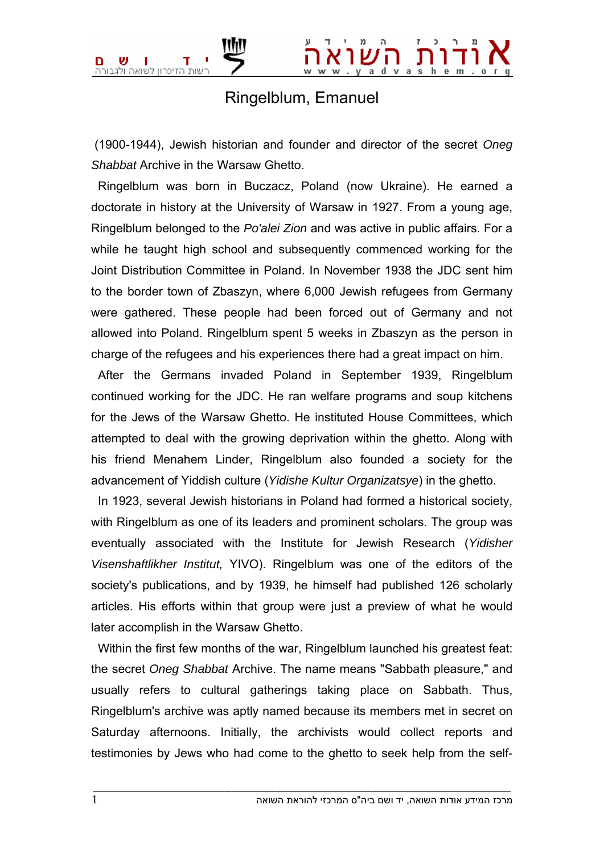## Ringelblum, Emanuel

 (1900-1944), Jewish historian and founder and director of the secret *Oneg Shabbat* Archive in the Warsaw Ghetto.

 Ringelblum was born in Buczacz, Poland (now Ukraine). He earned a doctorate in history at the University of Warsaw in 1927. From a young age, Ringelblum belonged to the *Po'alei Zion* and was active in public affairs. For a while he taught high school and subsequently commenced working for the Joint Distribution Committee in Poland. In November 1938 the JDC sent him to the border town of Zbaszyn, where 6,000 Jewish refugees from Germany were gathered. These people had been forced out of Germany and not allowed into Poland. Ringelblum spent 5 weeks in Zbaszyn as the person in charge of the refugees and his experiences there had a great impact on him.

 After the Germans invaded Poland in September 1939, Ringelblum continued working for the JDC. He ran welfare programs and soup kitchens for the Jews of the Warsaw Ghetto. He instituted House Committees, which attempted to deal with the growing deprivation within the ghetto. Along with his friend Menahem Linder, Ringelblum also founded a society for the advancement of Yiddish culture (*Yidishe Kultur Organizatsye*) in the ghetto.

 In 1923, several Jewish historians in Poland had formed a historical society, with Ringelblum as one of its leaders and prominent scholars. The group was eventually associated with the Institute for Jewish Research (*Yidisher Visenshaftlikher Institut,* YIVO). Ringelblum was one of the editors of the society's publications, and by 1939, he himself had published 126 scholarly articles. His efforts within that group were just a preview of what he would later accomplish in the Warsaw Ghetto.

 Within the first few months of the war, Ringelblum launched his greatest feat: the secret *Oneg Shabbat* Archive. The name means "Sabbath pleasure," and usually refers to cultural gatherings taking place on Sabbath. Thus, Ringelblum's archive was aptly named because its members met in secret on Saturday afternoons. Initially, the archivists would collect reports and testimonies by Jews who had come to the ghetto to seek help from the self-

 $\bot$  , and the set of the set of the set of the set of the set of the set of the set of the set of the set of the set of the set of the set of the set of the set of the set of the set of the set of the set of the set of t